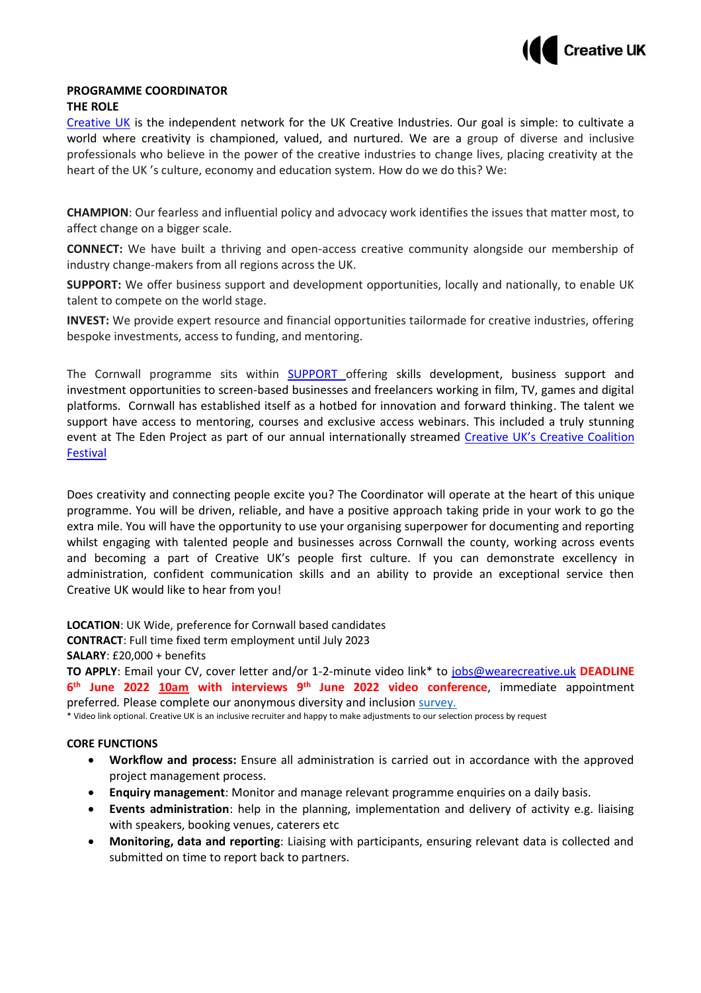

# **PROGRAMME COORDINATOR**

**THE ROLE**

[Creative UK](https://www.wearecreative.uk/) is the independent network for the UK Creative Industries. Our goal is simple: to cultivate a world where creativity is championed, valued, and nurtured. We are a group of diverse and inclusive professionals who believe in the power of the creative industries to change lives, placing creativity at the heart of the UK 's culture, economy and education system. How do we do this? We:

**CHAMPION**: Our fearless and influential policy and advocacy work identifies the issues that matter most, to affect change on a bigger scale.

**CONNECT:** We have built a thriving and open-access creative community alongside our membership of industry change-makers from all regions across the UK.

**SUPPORT:** We offer business support and development opportunities, locally and nationally, to enable UK talent to compete on the world stage.

**INVEST:** We provide expert resource and financial opportunities tailormade for creative industries, offering bespoke investments, access to funding, and mentoring.

The Cornwall programme sits within **[SUPPORT](https://www.wearecreative.uk/support/)** offering skills development, business support and investment opportunities to screen-based businesses and freelancers working in film, TV, games and digital platforms. Cornwall has established itself as a hotbed for innovation and forward thinking. The talent we support have access to mentoring, courses and exclusive access webinars. This included a truly stunning event at The Eden Project as part of our annual internationally streamed [Creative UK's Creative Coaliti](https://festival.wearecreative.uk/)on [Festival](https://festival.wearecreative.uk/) 

Does creativity and connecting people excite you? The Coordinator will operate at the heart of this unique programme. You will be driven, reliable, and have a positive approach taking pride in your work to go the extra mile. You will have the opportunity to use your organising superpower for documenting and reporting whilst engaging with talented people and businesses across Cornwall the county, working across events and becoming a part of Creative UK's people first culture. If you can demonstrate excellency in administration, confident communication skills and an ability to provide an exceptional service then Creative UK would like to hear from you!

**LOCATION**: UK Wide, preference for Cornwall based candidates **CONTRACT**: Full time fixed term employment until July 2023

**SALARY**: £20,000 + benefits

**TO APPLY**: Email your CV, cover letter and/or 1-2-minute video link\* to [jobs@wearecreative.uk](mailto:jobs@wearecreative.uk) **DEADLINE 6 th June 2022 10am with interviews 9th June 2022 video conference**, immediate appointment preferred*.* Please complete our anonymous diversity and inclusion [survey.](https://www.surveymonkey.co.uk/r/F8KJTP2)

\* Video link optional. Creative UK is an inclusive recruiter and happy to make adjustments to our selection process by request

### **CORE FUNCTIONS**

- **Workflow and process:** Ensure all administration is carried out in accordance with the approved project management process.
- **Enquiry management**: Monitor and manage relevant programme enquiries on a daily basis.
- **Events administration**: help in the planning, implementation and delivery of activity e.g. liaising with speakers, booking venues, caterers etc
- **Monitoring, data and reporting**: Liaising with participants, ensuring relevant data is collected and submitted on time to report back to partners.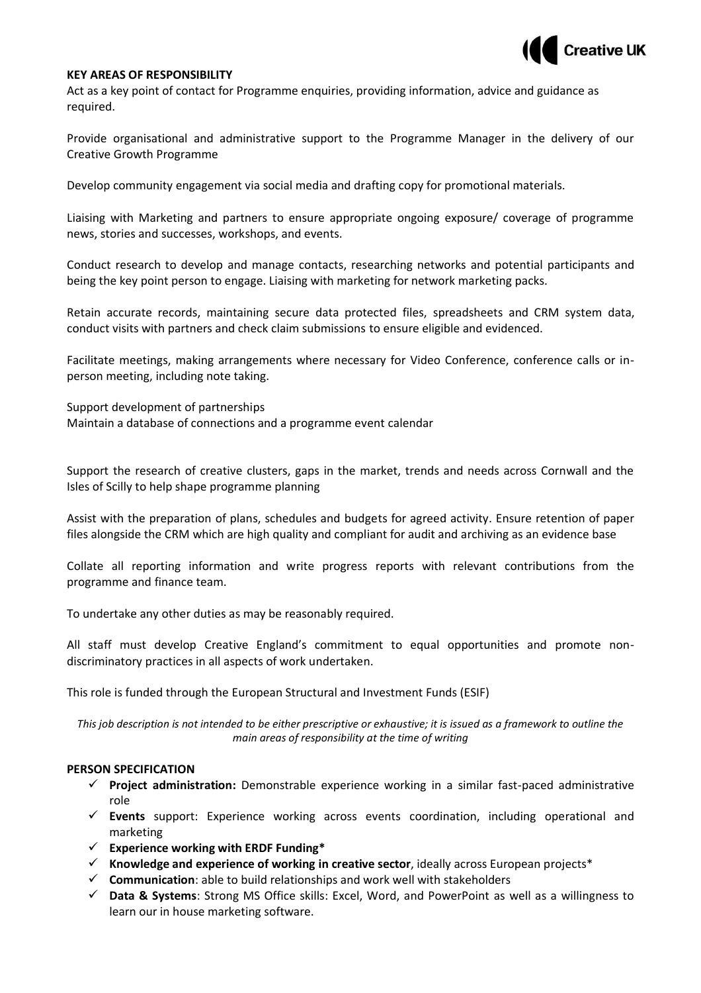

#### **KEY AREAS OF RESPONSIBILITY**

Act as a key point of contact for Programme enquiries, providing information, advice and guidance as required.

Provide organisational and administrative support to the Programme Manager in the delivery of our Creative Growth Programme

Develop community engagement via social media and drafting copy for promotional materials.

Liaising with Marketing and partners to ensure appropriate ongoing exposure/ coverage of programme news, stories and successes, workshops, and events.

Conduct research to develop and manage contacts, researching networks and potential participants and being the key point person to engage. Liaising with marketing for network marketing packs.

Retain accurate records, maintaining secure data protected files, spreadsheets and CRM system data, conduct visits with partners and check claim submissions to ensure eligible and evidenced.

Facilitate meetings, making arrangements where necessary for Video Conference, conference calls or inperson meeting, including note taking.

Support development of partnerships Maintain a database of connections and a programme event calendar

Support the research of creative clusters, gaps in the market, trends and needs across Cornwall and the Isles of Scilly to help shape programme planning

Assist with the preparation of plans, schedules and budgets for agreed activity. Ensure retention of paper files alongside the CRM which are high quality and compliant for audit and archiving as an evidence base

Collate all reporting information and write progress reports with relevant contributions from the programme and finance team.

To undertake any other duties as may be reasonably required.

All staff must develop Creative England's commitment to equal opportunities and promote nondiscriminatory practices in all aspects of work undertaken.

This role is funded through the European Structural and Investment Funds (ESIF)

*This job description is not intended to be either prescriptive or exhaustive; it is issued as a framework to outline the main areas of responsibility at the time of writing*

## **PERSON SPECIFICATION**

- ✓ **Project administration:** Demonstrable experience working in a similar fast-paced administrative role
- ✓ **Events** support: Experience working across events coordination, including operational and marketing
- ✓ **Experience working with ERDF Funding\***
- ✓ **Knowledge and experience of working in creative sector**, ideally across European projects\*
- **Communication**: able to build relationships and work well with stakeholders
- ✓ **Data & Systems**: Strong MS Office skills: Excel, Word, and PowerPoint as well as a willingness to learn our in house marketing software.